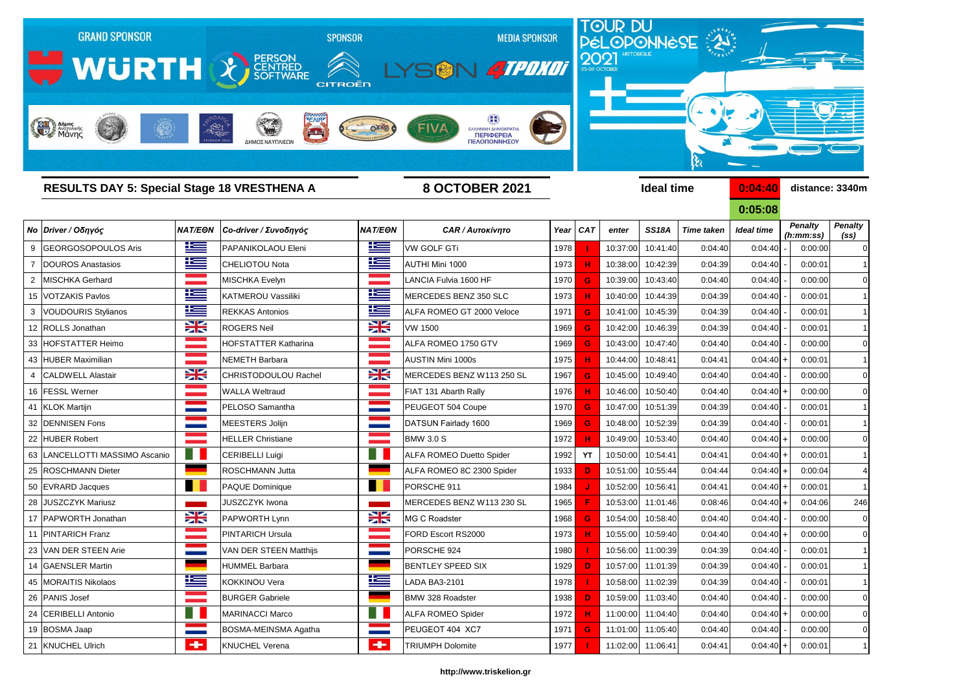

# *Νο Driver / Οδηγός NAT/EΘΝ Co-driver / Συνοδηγός NAT/EΘΝ CAR / Αυτοκίνητο Year CAT enter SS18A Time taken Ideal time* 9 GEORGOSOPOULOS Aris PAPANIKOLAOU Eleni VW GOLF GTi 1978  **I**  10:37:00 10:41:40 0:04:40 0:04:40 - 0:00:00 0 7 DOUROS Anastasios CHELIOTOU Nota AUTHI Mini 1000 1973 **H** 10:38:00 10:42:39 0:04:39 0:04:40 - 0:00:01 1 2 MISCHKA Gerhard MISCHKA Evelyn LANCIA Fulvia 1600 HF 1970 **G** 10:39:00 10:43:40 0:04:40 0:04:40 - 0:00:00 0 15 VOTZAKIS Pavlos KATMEROU Vassiliki MERCEDES BENZ 350 SLC 1973 **H** 10:40:00 10:44:39 0:04:39 0:04:40 - 0:00:01 1 3 VOUDOURIS Stylianos **Rekkas Antonios REKKAS Antonios Reference 1971 <b>G** 10:41:00 10:45:39 0:04:39 0:04:40 - 0:00:01 12 ROLLS Jonathan ROGERS Neil VW 1500 1969 **G** 10:42:00 10:46:39 0:04:39 0:04:40 - 0:00:01 1 33 HOFSTATTER Heimo HOFSTATTER Katharina ALFA ROMEO 1750 GTV 1969 **G** 10:43:00 10:47:40 0:04:40 0:04:40 - 0:00:00 0 43 HUBER Maximilian NEMETH Barbara AUSTIN Mini 1000s 1975 **H** 10:44:00 10:48:41 0:04:41 0:04:40 + 0:00:01 1 4 CALDWELL Alastair CHRISTODOULOU Rachel MERCEDES BENZ W113 250 SL 1967 **G** 10:45:00 10:49:40 0:04:40 0:04:40 0:04:40 0:00:00 16 FESSL Werner WALLA Weltraud FIAT 131 Abarth Rally 1976 **H** 10:46:00 10:50:40 0:04:40 0:04:40 + 0:00:00 0 41 KLOK Martijn PELOSO Samantha PEUGEOT 504 Coupe 1970 <mark> G </mark> 10:47:00 10:51:39 0:04:39 0:04:40 - | 0:00:01 1 32 DENNISEN Fons MEESTERS Jolijn DATSUN Fairlady 1600 1969 **G** 10:48:00 10:52:39 0:04:39 0:04:40 - 0:00:01 1 22 HUBER Robert HELLER Christiane BMW 3.0 S 1972 <mark> H </mark> 10:49:00 10:53:40 0:04:40 0:04:40 + 0:00:00 0 63 LANCELLOTTI MASSIMO Ascanio **CRIBELLI Luigi** CERIBELLI Luigi **CERIBELLI Luigi** ALFA ROMEO Duetto Spider [1992 | YT | 10:50:00 | 10:54:41 | 0:04:41 | 0:04:40 | + | 0:00:01 25 ROSCHMANN Dieter **ROSCHMANN Jutta ALFA ROMEO 8C 2300 Spider** 1933 **D** 10:51:00 10:55:44 0:04:44 0:04:40 + 0:00:04 50 EVRARD Jacques PAQUE Dominique PORSCHE 911 1984 <mark> J </mark> 10:52:00 10:56:41 0:04:41 0:04:40 + 0:00:01 1 28 JUSZCZYK Mariusz JUSZCZYK Iwona MERCEDES BENZ W113 230 SL 1965  **F**  10:53:00 11:01:46 0:08:46 0:04:40 + 0:04:06 246 17 PAPWORTH Jonathan **PAPWORTH Lynn BAPWORTH Lynn MG C Roadster** 1968 **G** 10:54:00 10:58:40 0:04:40 0:04:40 0:04:40 0:04:40 0:04:40 0:04:40 0:04:40 0:04:40 0:04:40 0:04:40 0:04:40 0:04:40 0:04:40 0:04:40 0:04:40 0:00:00 0 11 PINTARICH Franz PINTARICH Ursula FORD Escort RS2000 1973 **H** 10:55:00 10:59:40 0:04:40 0:04:40 + 0:00:00 0 23 VAN DER STEEN Arie VAN DER STEEN Matthijs PORSCHE 924 1 1980 <mark> </mark> 10:56:00 11:00:39 0:04:39 0:04:40 1 10:56:00 1 14 GAENSLER Martin HUMMEL Barbara BENTLEY SPEED SIX 1929 <mark> D </mark> 10:57:00 11:01:39 0:04:39 0:04:40 - | 0:00:01 1 45 MORAITIS Nikolaos KOKKINOU Vera LADA BA3-2101 1978  **I**  10:58:00 11:02:39 0:04:39 0:04:40 - 0:00:01 1 26 **|PANIS Josef BURGER Gabriele** BMW 328 Roadster 1938 <mark> D </mark> 10:59:00 11:03:40 0:04:40 0:04:40 0:04:40 0:00:00 0

**0:05:08** *Penalty (ss)* 24 CERIBELLI Antonio MARINACCI Marco ALFA ROMEO Spider 1972 **H** 11:00:00 11:04:40 0:04:40 0:04:40 + 0:00:00 0 *Penalty (h:mm:ss)*

21 KNUCHEL Ulrich KNUCHEL Verena TRIUMPH Dolomite 1977  **I**  11:02:00 11:06:41 0:04:41 0:04:40 + 0:00:01 1

19 BOSMA Jaap **BOSMA-MEINSMA Agatha | PEUGEOT 404 XC7** 1971 6 11:01:00 11:05:40 0:04:40 0:04:40 - 0:00:00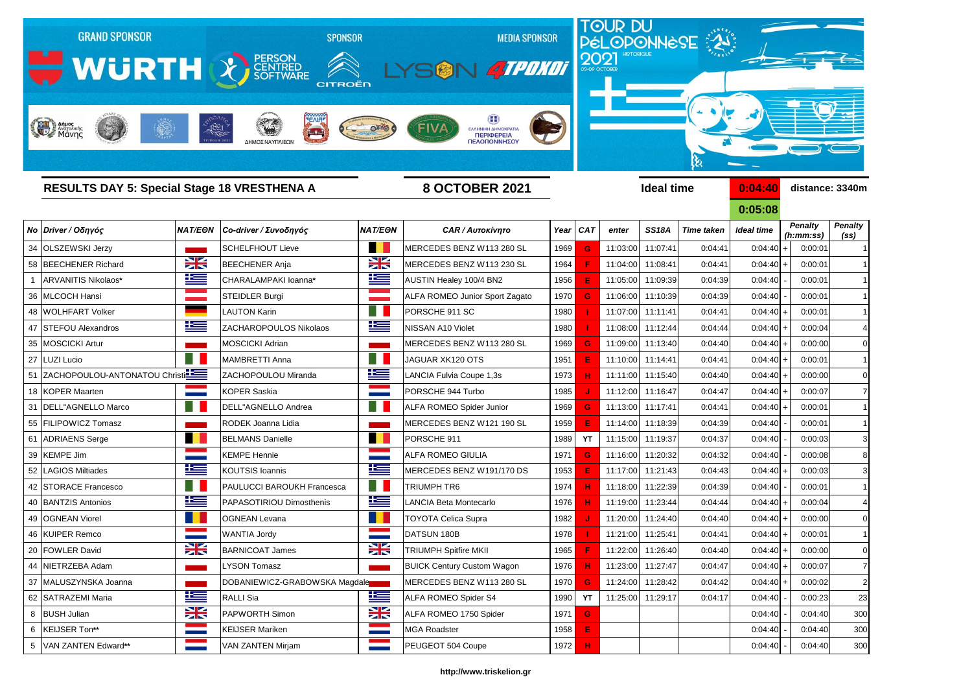

**0:05:08** *Penalty (ss) Penalty (h:mm:ss)*

| Νο Driver / Οδηγός               | NAT/EON         | Co-driver / Συνοδηγός             | <b>NAT/EON</b>           | <b>CAR / Αυτοκίνητο</b>               |      | Year   CAT  | enter    | <b>SS18A</b>      | <b>Time taken</b> | <b>Ideal time</b> | <b>Penalty</b><br>(h:mm:ss) | <b>Penalty</b><br>(s <sub>s</sub> ) |
|----------------------------------|-----------------|-----------------------------------|--------------------------|---------------------------------------|------|-------------|----------|-------------------|-------------------|-------------------|-----------------------------|-------------------------------------|
| 34 OLSZEWSKI Jerzy               |                 | <b>SCHELFHOUT Lieve</b>           | a sa                     | MERCEDES BENZ W113 280 SL             | 1969 | G           | 11:03:00 | 11:07:41          | 0:04:41           | $0:04:40$ +       | 0:00:01                     |                                     |
| 58 BEECHENER Richard             | <b>SK</b>       | <b>BEECHENER Anja</b>             | <b>SK</b>                | MERCEDES BENZ W113 230 SL             | 1964 |             | 11:04:00 | 11:08:41          | 0:04:41           | $0:04:40$ +       | 0:00:01                     |                                     |
| ARVANITIS Nikolaos*              | <u>ik –</u>     | CHARALAMPAKI Ioanna*              | 些                        | AUSTIN Healey 100/4 BN2               | 1956 |             |          | 11:05:00 11:09:39 | 0:04:39           | 0:04:40           | 0:00:01                     |                                     |
| 36 MLCOCH Hansi                  |                 | <b>STEIDLER Burgi</b>             |                          | <b>ALFA ROMEO Junior Sport Zagato</b> | 1970 | G           |          | 11:06:00 11:10:39 | 0:04:39           | 0:04:40           | 0:00:01                     |                                     |
| 48 WOLHFART Volker               |                 | <b>LAUTON Karin</b>               | H.                       | PORSCHE 911 SC                        | 1980 |             |          | 11:07:00 11:11:41 | 0:04:41           | $0:04:40$ +       | 0:00:01                     |                                     |
| 47 STEFOU Alexandros             | 上三              | <b>ZACHAROPOULOS Nikolaos</b>     | <u>is </u>               | NISSAN A10 Violet                     | 1980 |             | 11:08:00 | 11:12:44          | 0:04:44           | $0:04:40$ +       | 0:00:04                     |                                     |
| 35 MOSCICKI Artur                |                 | <b>MOSCICKI Adrian</b>            |                          | MERCEDES BENZ W113 280 SL             | 1969 | G           |          | 11:09:00 11:13:40 | 0:04:40           | $0:04:40$ +       | 0:00:00                     |                                     |
| 27 LUZI Lucio                    |                 | <b>MAMBRETTI Anna</b>             | ٠                        | JAGUAR XK120 OTS                      | 1951 |             |          | 11:10:00 11:14:41 | 0:04:41           | $0:04:40$ +       | 0:00:01                     |                                     |
| 51 ZACHOPOULOU-ANTONATOU Christi |                 | ZACHOPOULOU Miranda               | 些                        | LANCIA Fulvia Coupe 1,3s              | 1973 |             | 11:11:00 | 11:15:40          | 0:04:40           | $0:04:40$ +       | 0:00:00                     |                                     |
| 18 KOPER Maarten                 |                 | <b>KOPER Saskia</b>               |                          | PORSCHE 944 Turbo                     | 1985 |             | 11:12:00 | 11:16:47          | 0:04:47           | $0:04:40$ +       | 0:00:07                     |                                     |
| 31   DELL"AGNELLO Marco          |                 | DELL"AGNELLO Andrea               | H.                       | <b>ALFA ROMEO Spider Junior</b>       | 1969 | G           |          | 11:13:00 11:17:41 | 0:04:41           | $0:04:40$ +       | 0:00:01                     |                                     |
| 55 FILIPOWICZ Tomasz             |                 | RODEK Joanna Lidia                |                          | MERCEDES BENZ W121 190 SL             | 1959 | Е           |          | 11:14:00 11:18:39 | 0:04:39           | 0:04:40           | 0:00:01                     |                                     |
| 61 ADRIAENS Serge                |                 | <b>BELMANS Danielle</b>           |                          | PORSCHE 911                           | 1989 | <b>YT</b>   |          | 11:15:00 11:19:37 | 0:04:37           | 0:04:40           | 0:00:03                     |                                     |
| 39 KEMPE Jim                     |                 | <b>KEMPE Hennie</b>               |                          | <b>ALFA ROMEO GIULIA</b>              | 1971 | G           | 11:16:00 | 11:20:32          | 0:04:32           | 0:04:40           | 0:00:08                     |                                     |
| 52 LAGIOS Miltiades              | <u>is </u>      | <b>KOUTSIS Ioannis</b>            | 些                        | MERCEDES BENZ W191/170 DS             | 1953 |             |          | 11:17:00 11:21:43 | 0:04:43           | $0:04:40$ +       | 0:00:03                     |                                     |
| 42 STORACE Francesco             |                 | <b>PAULUCCI BAROUKH Francesca</b> | m                        | TRIUMPH TR6                           | 1974 |             |          | 11:18:00 11:22:39 | 0:04:39           | 0:04:40           | 0:00:01                     |                                     |
| 40 BANTZIS Antonios              | <u>ik s</u>     | PAPASOTIRIOU Dimosthenis          | 华                        | <b>ANCIA Beta Montecarlo</b>          | 1976 |             | 11:19:00 | 11:23:44          | 0:04:44           | $0:04:40$ +       | 0:00:04                     |                                     |
| 49 OGNEAN Viorel                 |                 | <b>OGNEAN Levana</b>              |                          | <b>TOYOTA Celica Supra</b>            | 1982 |             | 11:20:00 | 11:24:40          | 0:04:40           | $0:04:40$ +       | 0:00:00                     |                                     |
| 46 KUIPER Remco                  |                 | <b>WANTIA Jordy</b>               |                          | DATSUN 180B                           | 1978 |             |          | 11:21:00 11:25:41 | 0:04:41           | $0:04:40$ +       | 0:00:01                     |                                     |
| 20 FOWLER David                  | XK              | <b>BARNICOAT James</b>            | X                        | <b>TRIUMPH Spitfire MKII</b>          | 1965 |             |          | 11:22:00 11:26:40 | 0:04:40           | $0:04:40$ +       | 0:00:00                     |                                     |
| 44 NIETRZEBA Adam                |                 | <b>LYSON Tomasz</b>               |                          | <b>BUICK Century Custom Wagon</b>     | 1976 |             |          | 11:23:00 11:27:47 | 0:04:47           | $0:04:40$ +       | 0:00:07                     |                                     |
| 37 MALUSZYNSKA Joanna            |                 | DOBANIEWICZ-GRABOWSKA Magdale     |                          | MERCEDES BENZ W113 280 SL             | 1970 |             |          | 11:24:00 11:28:42 | 0:04:42           | $0:04:40$ +       | 0:00:02                     |                                     |
| 62 SATRAZEMI Maria               | <u>ik –</u>     | <b>RALLI</b> Sia                  | <u>ik s</u>              | ALFA ROMEO Spider S4                  | 1990 | <b>YT</b>   |          | 11:25:00 11:29:17 | 0:04:17           | 0:04:40           | 0:00:23                     | 23                                  |
| 8 BUSH Julian                    | X               | <b>PAPWORTH Simon</b>             | X                        | ALFA ROMEO 1750 Spider                | 1971 | $\mathbf G$ |          |                   |                   | 0:04:40           | 0:04:40                     | 300                                 |
| 6 KEIJSER Ton**                  | <b>Contract</b> | <b>KEIJSER Mariken</b>            | <b>Contract Contract</b> | <b>MGA Roadster</b>                   | 1958 | Е           |          |                   |                   | 0:04:40           | 0:04:40                     | 300                                 |
| 5 VAN ZANTEN Edward**            |                 | <b>VAN ZANTEN Mirjam</b>          | <b>Contract</b>          | PEUGEOT 504 Coupe                     | 1972 | н           |          |                   |                   | 0:04:40           | 0:04:40                     | <b>300</b>                          |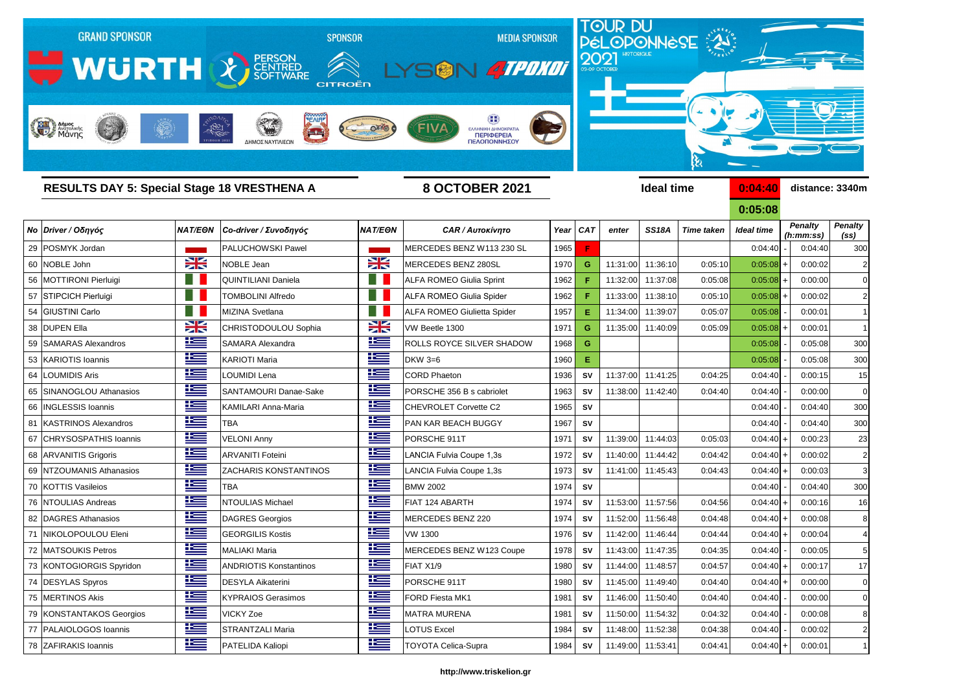

|    | <b>RESULTS DAY 5: Special Stage 18 VRESTHENA A</b> |             |                                 | <b>8 OCTOBER 2021</b>   |                                    |      | <b>Ideal time</b> |          |                   |                   |                   | 0:04:40<br>distance: 3340m  |                                     |  |
|----|----------------------------------------------------|-------------|---------------------------------|-------------------------|------------------------------------|------|-------------------|----------|-------------------|-------------------|-------------------|-----------------------------|-------------------------------------|--|
|    |                                                    |             |                                 |                         |                                    |      |                   |          |                   |                   | 0:05:08           |                             |                                     |  |
|    | Νο Driver / Οδηγός                                 |             | NAT/EΘN   Co-driver / Συνοδηγός | <b>NAT/EON</b>          | <b>CAR / Αυτοκίνητο</b>            |      | Year CAT          | enter    | <b>SS18A</b>      | <b>Time taken</b> | <b>Ideal time</b> | <b>Penalty</b><br>(h:mm:ss) | <b>Penalty</b><br>(s <sub>s</sub> ) |  |
|    | 29 POSMYK Jordan                                   |             | <b>PALUCHOWSKI Pawel</b>        |                         | MERCEDES BENZ W113 230 SL          | 1965 |                   |          |                   |                   | 0:04:40           | 0:04:40                     | 300                                 |  |
|    | 60 NOBLE John                                      | X           | NOBLE Jean                      | XK                      | MERCEDES BENZ 280SL                | 1970 | G                 | 11:31:00 | 11:36:10          | 0:05:10           | $0:05:08$ +       | 0:00:02                     |                                     |  |
|    | 56   MOTTIRONI Pierluigi                           |             | QUINTILIANI Daniela             | H.                      | <b>ALFA ROMEO Giulia Sprint</b>    | 1962 |                   |          | 11:32:00 11:37:08 | 0:05:08           | $0:05:08$ +       | 0:00:00                     |                                     |  |
|    | 57 STIPCICH Pierluigi                              |             | <b>TOMBOLINI Alfredo</b>        | <b>SER</b>              | ALFA ROMEO Giulia Spider           | 1962 |                   |          | 11:33:00 11:38:10 | 0:05:10           | $0:05:08$ +       | 0:00:02                     | 2                                   |  |
|    | 54 GIUSTINI Carlo                                  |             | MIZINA Svetlana                 | H.                      | <b>ALFA ROMEO Giulietta Spider</b> | 1957 | Е                 | 11:34:00 | 11:39:07          | 0:05:07           | 0:05:08           | 0:00:01                     |                                     |  |
|    | 38 DUPEN Ella                                      | X           | CHRISTODOULOU Sophia            | X                       | VW Beetle 1300                     | 1971 | G                 | 11:35:00 | 11:40:09          | 0:05:09           | $0:05:08$ +       | 0:00:01                     |                                     |  |
| 59 | <b>SAMARAS Alexandros</b>                          | <u>iks </u> | <b>SAMARA Alexandra</b>         | <u>iks </u>             | ROLLS ROYCE SILVER SHADOW          | 1968 | G                 |          |                   |                   | 0:05:08           | 0:05:08                     | 300                                 |  |
|    | 53 KARIOTIS Ioannis                                | 些           | <b>KARIOTI Maria</b>            | 坚                       | <b>DKW 3=6</b>                     | 1960 | Е                 |          |                   |                   | 0:05:08           | 0:05:08                     | 30 <sub>C</sub>                     |  |
|    | 64 LOUMIDIS Aris                                   | <u>ik –</u> | <b>LOUMIDI Lena</b>             | 些                       | <b>CORD Phaeton</b>                | 1936 | <b>SV</b>         | 11:37:00 | 11:41:25          | 0:04:25           | 0:04:40           | 0:00:15                     | 15                                  |  |
|    | 65 SINANOGLOU Athanasios                           | 些           | SANTAMOURI Danae-Sake           | <u>ik a</u>             | PORSCHE 356 B s cabriolet          | 1963 | <b>SV</b>         | 11:38:00 | 11:42:40          | 0:04:40           | 0:04:40           | 0:00:00                     | C                                   |  |
|    | 66   INGLESSIS Ioannis                             | 些           | KAMILARI Anna-Maria             | <u>ies</u>              | <b>CHEVROLET Corvette C2</b>       | 1965 | <b>SV</b>         |          |                   |                   | 0:04:40           | 0:04:40                     | 300                                 |  |
|    | 81 KASTRINOS Alexandros                            | 些           | <b>TBA</b>                      | <u>ik –</u>             | PAN KAR BEACH BUGGY                | 1967 | <b>SV</b>         |          |                   |                   | 0:04:40           | 0:04:40                     | 30 <sub>C</sub>                     |  |
|    | 67 CHRYSOSPATHIS Ioannis                           | <u>ik s</u> | <b>VELONI Anny</b>              | <u>is</u>               | PORSCHE 911T                       | 1971 | <b>SV</b>         | 11:39:00 | 11:44:03          | 0:05:03           | $0:04:40$ +       | 0:00:23                     | 23                                  |  |
|    | 68 ARVANITIS Grigoris                              | <u>is </u>  | <b>ARVANITI Foteini</b>         | <u>is </u>              | LANCIA Fulvia Coupe 1,3s           | 1972 | <b>SV</b>         | 11:40:00 | 11:44:42          | 0:04:42           | $0:04:40$ +       | 0:00:02                     | 2                                   |  |
|    | 69 NTZOUMANIS Athanasios                           | 些           | <b>ZACHARIS KONSTANTINOS</b>    | <u>is </u>              | LANCIA Fulvia Coupe 1,3s           | 1973 | <b>SV</b>         |          | 11:41:00 11:45:43 | 0:04:43           | $0:04:40$ +       | 0:00:03                     | 3                                   |  |
|    | 70 KOTTIS Vasileios                                | ٢           | <b>TBA</b>                      | <u>ik –</u>             | <b>BMW 2002</b>                    | 1974 | <b>SV</b>         |          |                   |                   | 0:04:40           | 0:04:40                     | 300                                 |  |
|    | 76 NTOULIAS Andreas                                | 些           | NTOULIAS Michael                | 些                       | FIAT 124 ABARTH                    | 1974 | <b>SV</b>         | 11:53:00 | 11:57:56          | 0:04:56           | $0:04:40$ +       | 0:00:16                     | 16                                  |  |
|    | 82   DAGRES Athanasios                             | 些           | DAGRES Georgios                 | 些                       | MERCEDES BENZ 220                  | 1974 | <b>SV</b>         | 11:52:00 | 11:56:48          | 0:04:48           | $0:04:40$ +       | 0:00:08                     | 8                                   |  |
|    | 71 NIKOLOPOULOU Eleni                              | <u>iks </u> | <b>GEORGILIS Kostis</b>         | <u>is </u>              | <b>VW 1300</b>                     | 1976 | <b>SV</b>         |          | 11:42:00 11:46:44 | 0:04:44           | $0:04:40$ +       | 0:00:04                     |                                     |  |
|    | 72 MATSOUKIS Petros                                | 些           | MALIAKI Maria                   | K<br>and the control of | MERCEDES BENZ W123 Coupe           | 1978 | SV                |          | 11:43:00 11:47:35 | 0:04:35           | $0:04:40$ -       | 0:00:05                     |                                     |  |
|    | 73 KONTOGIORGIS Spyridon                           | <u>is </u>  | <b>ANDRIOTIS Konstantinos</b>   | <u>is </u>              | FIAT X1/9                          | 1980 | SV                |          | 11:44:00 11:48:57 | 0:04:57           | $0:04:40$ +       | 0:00:17                     | -17                                 |  |
|    | 74 DESYLAS Spyros                                  | <u>is </u>  | <b>DESYLA Aikaterini</b>        | <u>is </u>              | PORSCHE 911T                       | 1980 | <b>SV</b>         |          | 11:45:00 11:49:40 | 0:04:40           | $0:04:40$ +       | 0:00:00                     | C                                   |  |
|    | 75 MERTINOS Akis                                   | <u>ika </u> | <b>KYPRAIOS Gerasimos</b>       | <u>is </u>              | FORD Fiesta MK1                    | 1981 | SV                |          | 11:46:00 11:50:40 | 0:04:40           | 0:04:40           | 0:00:00                     | C                                   |  |
|    | 79   KONSTANTAKOS Georgios                         | <u>ik –</u> | <b>VICKY Zoe</b>                | <u>is </u>              | <b>MATRA MURENA</b>                | 1981 | <b>SV</b>         |          | 11:50:00 11:54:32 | 0:04:32           | 0:04:40           | 0:00:08                     | 8                                   |  |
|    | 77   PALAIOLOGOS Ioannis                           | <u>ik –</u> | <b>STRANTZALI Maria</b>         | <u>ik s</u>             | <b>LOTUS Excel</b>                 | 1984 | <b>SV</b>         |          | 11:48:00 11:52:38 | 0:04:38           | 0:04:40           | 0:00:02                     | $\tilde{z}$                         |  |
|    | 78 ZAFIRAKIS Ioannis                               | <u>ik s</u> | PATELIDA Kaliopi                | <u>is </u>              | <b>TOYOTA Celica-Supra</b>         | 1984 | SV                |          | 11:49:00 11:53:41 | 0:04:41           | $0:04:40$ +       | 0:00:01                     | -1                                  |  |
|    |                                                    |             |                                 |                         |                                    |      |                   |          |                   |                   |                   |                             |                                     |  |